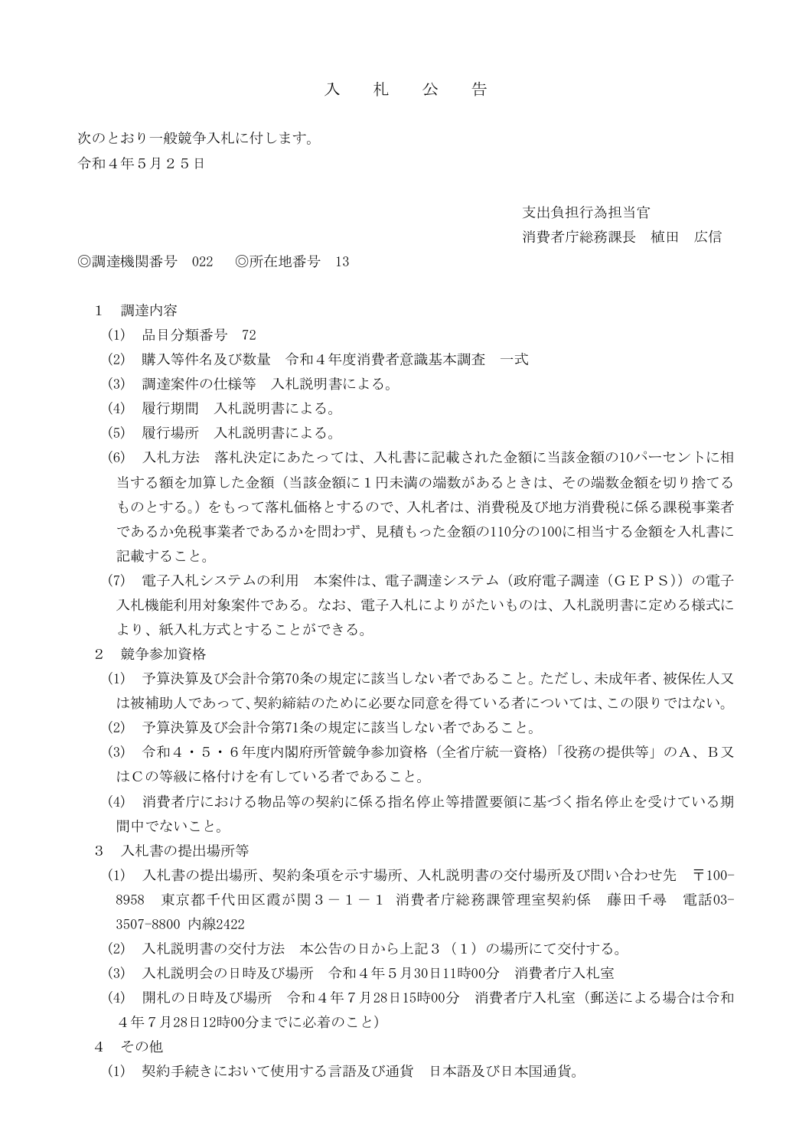## 入 札 公 告

次のとおり一般競争入札に付します。 令和4年5月25日

支出負担行為担当官

## 消費者庁総務課長 植田 広信

◎調達機関番号 022 ◎所在地番号 13

- 1 調達内容
	- (1) 品目分類番号 72
	- (2) 購入等件名及び数量 令和4年度消費者意識基本調査 一式
	- (3) 調達案件の仕様等 入札説明書による。
	- (4) 履行期間 入札説明書による。
	- (5) 履行場所 入札説明書による。
	- (6) 入札方法 落札決定にあたっては、入札書に記載された金額に当該金額の10パーセントに相 当する額を加算した金額(当該金額に1円未満の端数があるときは、その端数金額を切り捨てる ものとする。)をもって落札価格とするので、入札者は、消費税及び地方消費税に係る課税事業者 であるか免税事業者であるかを問わず、見積もった金額の110分の100に相当する金額を入札書に 記載すること。
	- (7) 電子入札システムの利用 本案件は、電子調達システム(政府電子調達(GEPS))の電子 入札機能利用対象案件である。なお、電子入札によりがたいものは、入札説明書に定める様式に より、紙入札方式とすることができる。
- 2 競争参加資格
	- (1) 予算決算及び会計令第70条の規定に該当しない者であること。ただし、未成年者、被保佐人又 は被補助人であって、契約締結のために必要な同意を得ている者については、この限りではない。
	- (2) 予算決算及び会計令第71条の規定に該当しない者であること。
	- (3) 令和4・5・6年度内閣府所管競争参加資格(全省庁統一資格)「役務の提供等」のA、B又 はCの等級に格付けを有している者であること。
	- (4) 消費者庁における物品等の契約に係る指名停止等措置要領に基づく指名停止を受けている期 間中でないこと。
- 3 入札書の提出場所等
	- (1) 入札書の提出場所、契約条項を示す場所、入札説明書の交付場所及び問い合わせ先 〒100- 8958 東京都千代田区霞が関3-1-1 消費者庁総務課管理室契約係 藤田千尋 電話03- 3507-8800 内線2422
	- (2) 入札説明書の交付方法 本公告の日から上記3(1)の場所にて交付する。
	- (3) 入札説明会の日時及び場所 令和4年5月30日11時00分 消費者庁入札室
	- (4) 開札の日時及び場所 令和4年7月28日15時00分 消費者庁入札室(郵送による場合は令和 4年7月28日12時00分までに必着のこと)
- 4 その他
	- (1) 契約手続きにおいて使用する言語及び通貨 日本語及び日本国通貨。